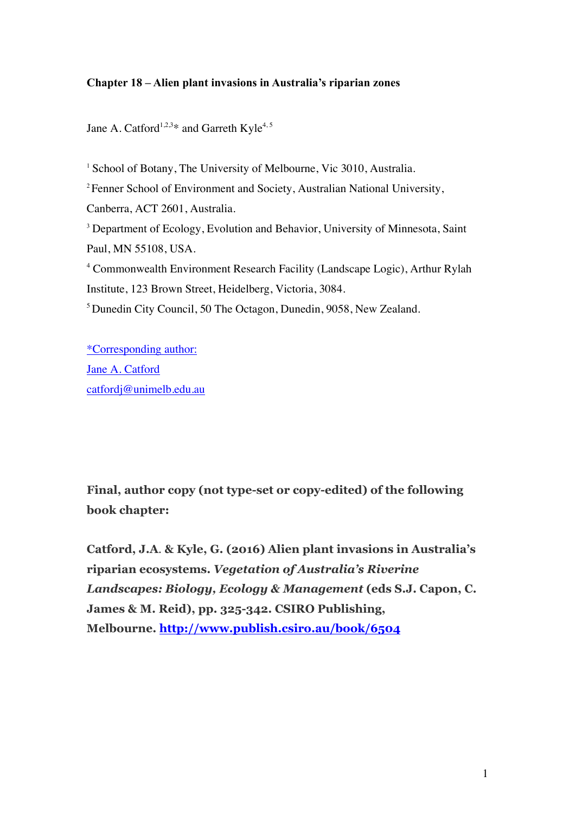# **Chapter 18 – Alien plant invasions in Australia's riparian zones**

Jane A. Catford<sup>1,2,3\*</sup> and Garreth Kyle<sup>4,5</sup>

<sup>1</sup> School of Botany, The University of Melbourne, Vic 3010, Australia. <sup>2</sup> Fenner School of Environment and Society, Australian National University, Canberra, ACT 2601, Australia. <sup>3</sup> Department of Ecology, Evolution and Behavior, University of Minnesota, Saint Paul, MN 55108, USA. <sup>4</sup> Commonwealth Environment Research Facility (Landscape Logic), Arthur Rylah Institute, 123 Brown Street, Heidelberg, Victoria, 3084. 5 Dunedin City Council, 50 The Octagon, Dunedin, 9058, New Zealand.

\*Corresponding author: Jane A. Catford catfordj@unimelb.edu.au

**Final, author copy (not type-set or copy-edited) of the following book chapter:**

**Catford, J.A**. **& Kyle, G. (2016) Alien plant invasions in Australia's riparian ecosystems.** *Vegetation of Australia's Riverine Landscapes: Biology, Ecology & Management* **(eds S.J. Capon, C. James & M. Reid), pp. 325-342. CSIRO Publishing, Melbourne. http://www.publish.csiro.au/book/6504**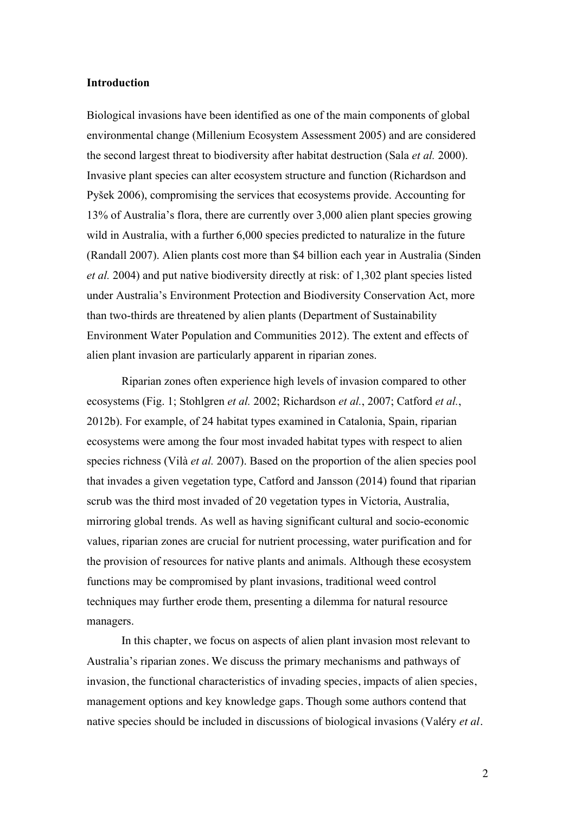## **Introduction**

Biological invasions have been identified as one of the main components of global environmental change (Millenium Ecosystem Assessment 2005) and are considered the second largest threat to biodiversity after habitat destruction (Sala *et al.* 2000). Invasive plant species can alter ecosystem structure and function (Richardson and Pyšek 2006), compromising the services that ecosystems provide. Accounting for 13% of Australia's flora, there are currently over 3,000 alien plant species growing wild in Australia, with a further 6,000 species predicted to naturalize in the future (Randall 2007). Alien plants cost more than \$4 billion each year in Australia (Sinden *et al.* 2004) and put native biodiversity directly at risk: of 1,302 plant species listed under Australia's Environment Protection and Biodiversity Conservation Act, more than two-thirds are threatened by alien plants (Department of Sustainability Environment Water Population and Communities 2012). The extent and effects of alien plant invasion are particularly apparent in riparian zones.

Riparian zones often experience high levels of invasion compared to other ecosystems (Fig. 1; Stohlgren *et al.* 2002; Richardson *et al.*, 2007; Catford *et al.*, 2012b). For example, of 24 habitat types examined in Catalonia, Spain, riparian ecosystems were among the four most invaded habitat types with respect to alien species richness (Vilà *et al.* 2007). Based on the proportion of the alien species pool that invades a given vegetation type, Catford and Jansson (2014) found that riparian scrub was the third most invaded of 20 vegetation types in Victoria, Australia, mirroring global trends. As well as having significant cultural and socio-economic values, riparian zones are crucial for nutrient processing, water purification and for the provision of resources for native plants and animals. Although these ecosystem functions may be compromised by plant invasions, traditional weed control techniques may further erode them, presenting a dilemma for natural resource managers.

In this chapter, we focus on aspects of alien plant invasion most relevant to Australia's riparian zones. We discuss the primary mechanisms and pathways of invasion, the functional characteristics of invading species, impacts of alien species, management options and key knowledge gaps. Though some authors contend that native species should be included in discussions of biological invasions (Valéry *et al.*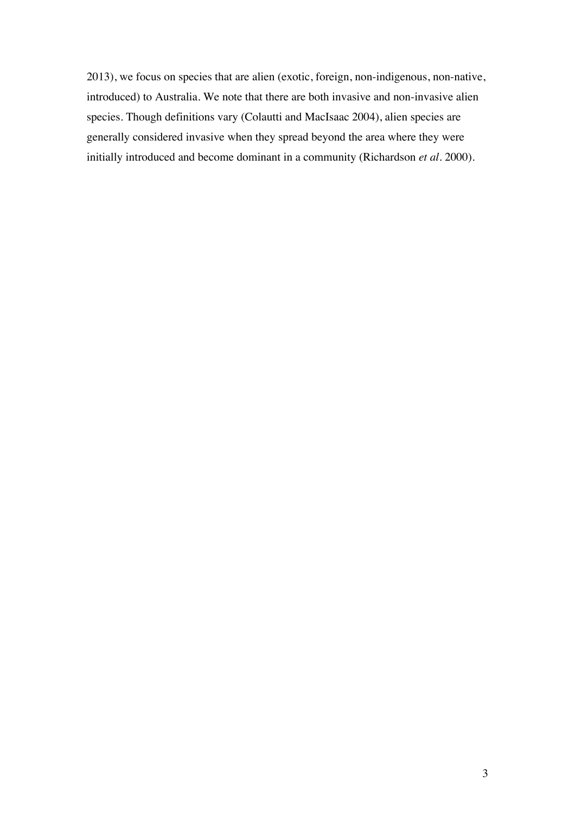2013), we focus on species that are alien (exotic, foreign, non-indigenous, non-native, introduced) to Australia. We note that there are both invasive and non-invasive alien species. Though definitions vary (Colautti and MacIsaac 2004), alien species are generally considered invasive when they spread beyond the area where they were initially introduced and become dominant in a community (Richardson *et al.* 2000).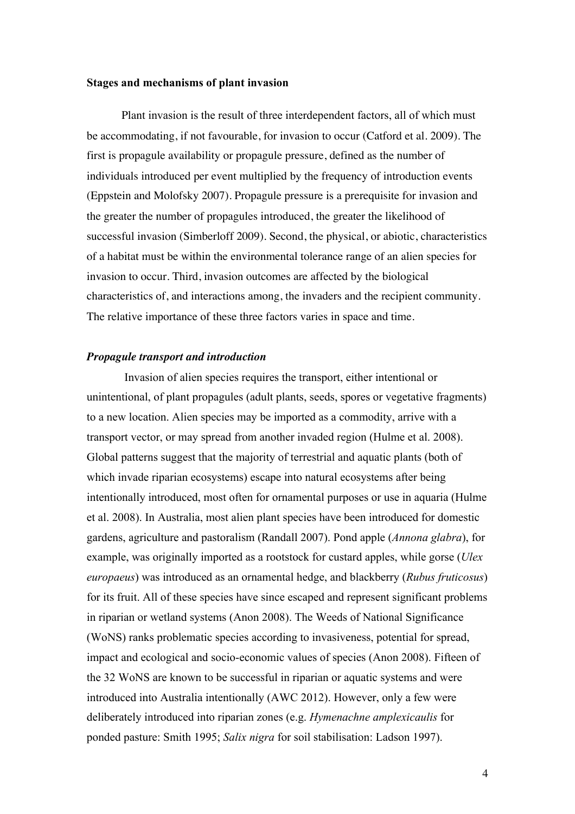## **Stages and mechanisms of plant invasion**

Plant invasion is the result of three interdependent factors, all of which must be accommodating, if not favourable, for invasion to occur (Catford et al. 2009). The first is propagule availability or propagule pressure, defined as the number of individuals introduced per event multiplied by the frequency of introduction events (Eppstein and Molofsky 2007). Propagule pressure is a prerequisite for invasion and the greater the number of propagules introduced, the greater the likelihood of successful invasion (Simberloff 2009). Second, the physical, or abiotic, characteristics of a habitat must be within the environmental tolerance range of an alien species for invasion to occur. Third, invasion outcomes are affected by the biological characteristics of, and interactions among, the invaders and the recipient community. The relative importance of these three factors varies in space and time.

## *Propagule transport and introduction*

Invasion of alien species requires the transport, either intentional or unintentional, of plant propagules (adult plants, seeds, spores or vegetative fragments) to a new location. Alien species may be imported as a commodity, arrive with a transport vector, or may spread from another invaded region (Hulme et al. 2008). Global patterns suggest that the majority of terrestrial and aquatic plants (both of which invade riparian ecosystems) escape into natural ecosystems after being intentionally introduced, most often for ornamental purposes or use in aquaria (Hulme et al. 2008). In Australia, most alien plant species have been introduced for domestic gardens, agriculture and pastoralism (Randall 2007). Pond apple (*Annona glabra*), for example, was originally imported as a rootstock for custard apples, while gorse (*Ulex europaeus*) was introduced as an ornamental hedge, and blackberry (*Rubus fruticosus*) for its fruit. All of these species have since escaped and represent significant problems in riparian or wetland systems (Anon 2008). The Weeds of National Significance (WoNS) ranks problematic species according to invasiveness, potential for spread, impact and ecological and socio-economic values of species (Anon 2008). Fifteen of the 32 WoNS are known to be successful in riparian or aquatic systems and were introduced into Australia intentionally (AWC 2012). However, only a few were deliberately introduced into riparian zones (e.g. *Hymenachne amplexicaulis* for ponded pasture: Smith 1995; *Salix nigra* for soil stabilisation: Ladson 1997).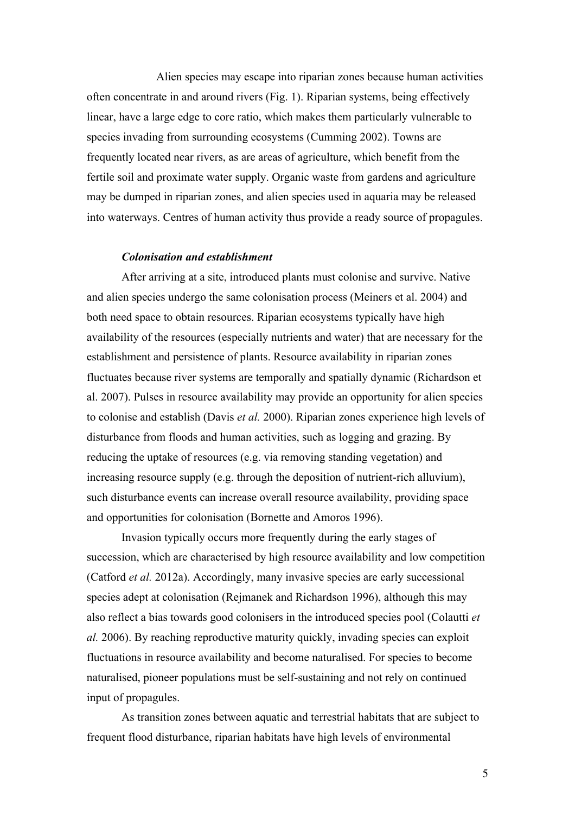Alien species may escape into riparian zones because human activities often concentrate in and around rivers (Fig. 1). Riparian systems, being effectively linear, have a large edge to core ratio, which makes them particularly vulnerable to species invading from surrounding ecosystems (Cumming 2002). Towns are frequently located near rivers, as are areas of agriculture, which benefit from the fertile soil and proximate water supply. Organic waste from gardens and agriculture may be dumped in riparian zones, and alien species used in aquaria may be released into waterways. Centres of human activity thus provide a ready source of propagules.

#### *Colonisation and establishment*

After arriving at a site, introduced plants must colonise and survive. Native and alien species undergo the same colonisation process (Meiners et al. 2004) and both need space to obtain resources. Riparian ecosystems typically have high availability of the resources (especially nutrients and water) that are necessary for the establishment and persistence of plants. Resource availability in riparian zones fluctuates because river systems are temporally and spatially dynamic (Richardson et al. 2007). Pulses in resource availability may provide an opportunity for alien species to colonise and establish (Davis *et al.* 2000). Riparian zones experience high levels of disturbance from floods and human activities, such as logging and grazing. By reducing the uptake of resources (e.g. via removing standing vegetation) and increasing resource supply (e.g. through the deposition of nutrient-rich alluvium), such disturbance events can increase overall resource availability, providing space and opportunities for colonisation (Bornette and Amoros 1996).

Invasion typically occurs more frequently during the early stages of succession, which are characterised by high resource availability and low competition (Catford *et al.* 2012a). Accordingly, many invasive species are early successional species adept at colonisation (Rejmanek and Richardson 1996), although this may also reflect a bias towards good colonisers in the introduced species pool (Colautti *et al.* 2006). By reaching reproductive maturity quickly, invading species can exploit fluctuations in resource availability and become naturalised. For species to become naturalised, pioneer populations must be self-sustaining and not rely on continued input of propagules.

As transition zones between aquatic and terrestrial habitats that are subject to frequent flood disturbance, riparian habitats have high levels of environmental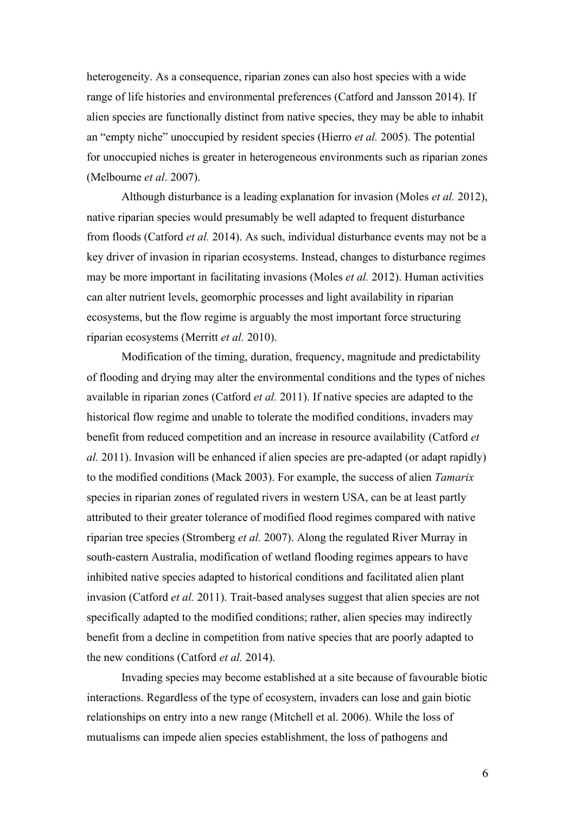heterogeneity. As a consequence, riparian zones can also host species with a wide range of life histories and environmental preferences (Catford and Jansson 2014). If alien species are functionally distinct from native species, they may be able to inhabit an "empty niche" unoccupied by resident species (Hierro *et al.* 2005). The potential for unoccupied niches is greater in heterogeneous environments such as riparian zones (Melbourne *et al*. 2007).

Although disturbance is a leading explanation for invasion (Moles *et al.* 2012), native riparian species would presumably be well adapted to frequent disturbance from floods (Catford *et al.* 2014). As such, individual disturbance events may not be a key driver of invasion in riparian ecosystems. Instead, changes to disturbance regimes may be more important in facilitating invasions (Moles *et al.* 2012). Human activities can alter nutrient levels, geomorphic processes and light availability in riparian ecosystems, but the flow regime is arguably the most important force structuring riparian ecosystems (Merritt *et al.* 2010).

Modification of the timing, duration, frequency, magnitude and predictability of flooding and drying may alter the environmental conditions and the types of niches available in riparian zones (Catford *et al.* 2011). If native species are adapted to the historical flow regime and unable to tolerate the modified conditions, invaders may benefit from reduced competition and an increase in resource availability (Catford *et al.* 2011). Invasion will be enhanced if alien species are pre-adapted (or adapt rapidly) to the modified conditions (Mack 2003). For example, the success of alien *Tamarix* species in riparian zones of regulated rivers in western USA, can be at least partly attributed to their greater tolerance of modified flood regimes compared with native riparian tree species (Stromberg *et al.* 2007). Along the regulated River Murray in south-eastern Australia, modification of wetland flooding regimes appears to have inhibited native species adapted to historical conditions and facilitated alien plant invasion (Catford *et al.* 2011). Trait-based analyses suggest that alien species are not specifically adapted to the modified conditions; rather, alien species may indirectly benefit from a decline in competition from native species that are poorly adapted to the new conditions (Catford *et al.* 2014).

Invading species may become established at a site because of favourable biotic interactions. Regardless of the type of ecosystem, invaders can lose and gain biotic relationships on entry into a new range (Mitchell et al. 2006). While the loss of mutualisms can impede alien species establishment, the loss of pathogens and

6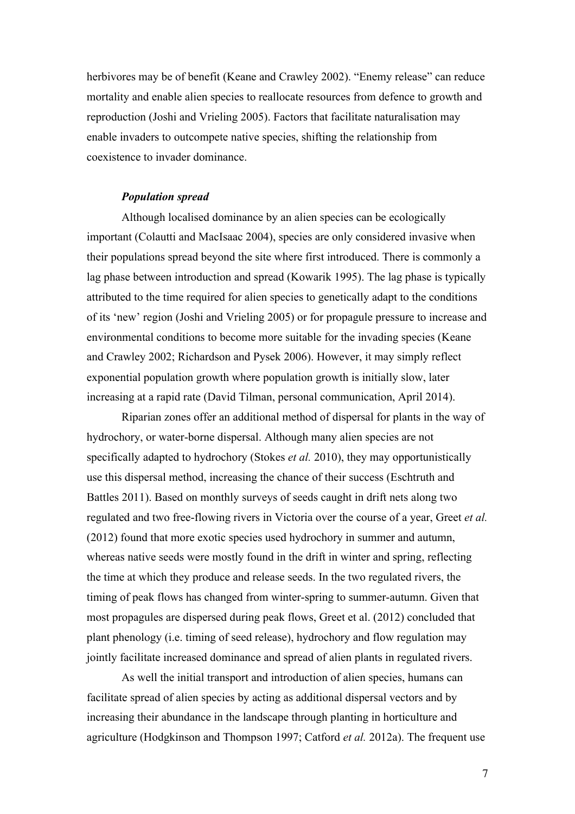herbivores may be of benefit (Keane and Crawley 2002). "Enemy release" can reduce mortality and enable alien species to reallocate resources from defence to growth and reproduction (Joshi and Vrieling 2005). Factors that facilitate naturalisation may enable invaders to outcompete native species, shifting the relationship from coexistence to invader dominance.

# *Population spread*

Although localised dominance by an alien species can be ecologically important (Colautti and MacIsaac 2004), species are only considered invasive when their populations spread beyond the site where first introduced. There is commonly a lag phase between introduction and spread (Kowarik 1995). The lag phase is typically attributed to the time required for alien species to genetically adapt to the conditions of its 'new' region (Joshi and Vrieling 2005) or for propagule pressure to increase and environmental conditions to become more suitable for the invading species (Keane and Crawley 2002; Richardson and Pysek 2006). However, it may simply reflect exponential population growth where population growth is initially slow, later increasing at a rapid rate (David Tilman, personal communication, April 2014).

Riparian zones offer an additional method of dispersal for plants in the way of hydrochory, or water-borne dispersal. Although many alien species are not specifically adapted to hydrochory (Stokes *et al.* 2010), they may opportunistically use this dispersal method, increasing the chance of their success (Eschtruth and Battles 2011). Based on monthly surveys of seeds caught in drift nets along two regulated and two free-flowing rivers in Victoria over the course of a year, Greet *et al.* (2012) found that more exotic species used hydrochory in summer and autumn, whereas native seeds were mostly found in the drift in winter and spring, reflecting the time at which they produce and release seeds. In the two regulated rivers, the timing of peak flows has changed from winter-spring to summer-autumn. Given that most propagules are dispersed during peak flows, Greet et al. (2012) concluded that plant phenology (i.e. timing of seed release), hydrochory and flow regulation may jointly facilitate increased dominance and spread of alien plants in regulated rivers.

As well the initial transport and introduction of alien species, humans can facilitate spread of alien species by acting as additional dispersal vectors and by increasing their abundance in the landscape through planting in horticulture and agriculture (Hodgkinson and Thompson 1997; Catford *et al.* 2012a). The frequent use

7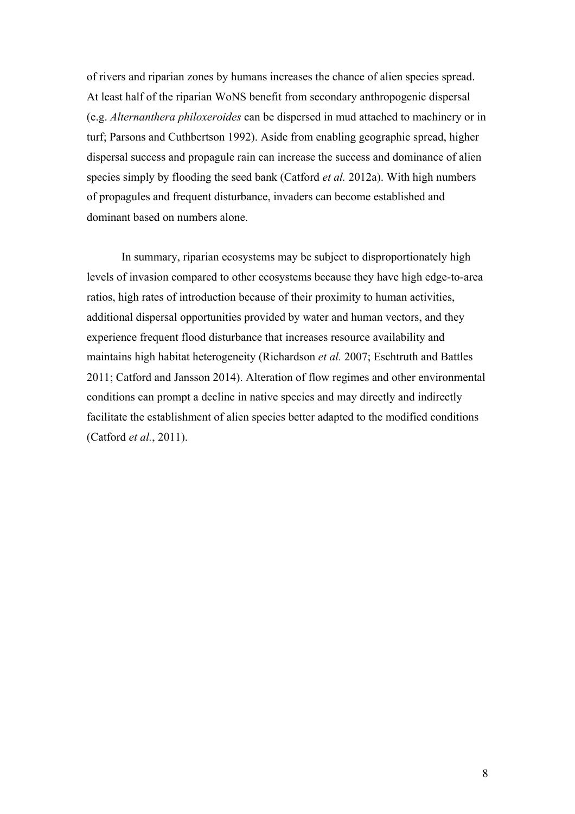of rivers and riparian zones by humans increases the chance of alien species spread. At least half of the riparian WoNS benefit from secondary anthropogenic dispersal (e.g. *Alternanthera philoxeroides* can be dispersed in mud attached to machinery or in turf; Parsons and Cuthbertson 1992). Aside from enabling geographic spread, higher dispersal success and propagule rain can increase the success and dominance of alien species simply by flooding the seed bank (Catford *et al.* 2012a). With high numbers of propagules and frequent disturbance, invaders can become established and dominant based on numbers alone.

In summary, riparian ecosystems may be subject to disproportionately high levels of invasion compared to other ecosystems because they have high edge-to-area ratios, high rates of introduction because of their proximity to human activities, additional dispersal opportunities provided by water and human vectors, and they experience frequent flood disturbance that increases resource availability and maintains high habitat heterogeneity (Richardson *et al.* 2007; Eschtruth and Battles 2011; Catford and Jansson 2014). Alteration of flow regimes and other environmental conditions can prompt a decline in native species and may directly and indirectly facilitate the establishment of alien species better adapted to the modified conditions (Catford *et al.*, 2011).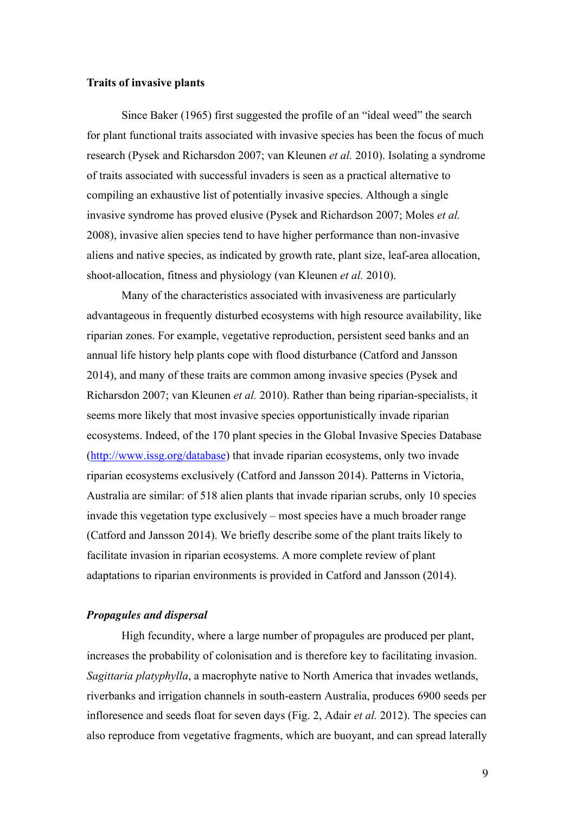## **Traits of invasive plants**

Since Baker (1965) first suggested the profile of an "ideal weed" the search for plant functional traits associated with invasive species has been the focus of much research (Pysek and Richarsdon 2007; van Kleunen *et al.* 2010). Isolating a syndrome of traits associated with successful invaders is seen as a practical alternative to compiling an exhaustive list of potentially invasive species. Although a single invasive syndrome has proved elusive (Pysek and Richardson 2007; Moles *et al.* 2008), invasive alien species tend to have higher performance than non-invasive aliens and native species, as indicated by growth rate, plant size, leaf-area allocation, shoot-allocation, fitness and physiology (van Kleunen *et al.* 2010).

Many of the characteristics associated with invasiveness are particularly advantageous in frequently disturbed ecosystems with high resource availability, like riparian zones. For example, vegetative reproduction, persistent seed banks and an annual life history help plants cope with flood disturbance (Catford and Jansson 2014), and many of these traits are common among invasive species (Pysek and Richarsdon 2007; van Kleunen *et al.* 2010). Rather than being riparian-specialists, it seems more likely that most invasive species opportunistically invade riparian ecosystems. Indeed, of the 170 plant species in the Global Invasive Species Database (http://www.issg.org/database) that invade riparian ecosystems, only two invade riparian ecosystems exclusively (Catford and Jansson 2014). Patterns in Victoria, Australia are similar: of 518 alien plants that invade riparian scrubs, only 10 species invade this vegetation type exclusively – most species have a much broader range (Catford and Jansson 2014). We briefly describe some of the plant traits likely to facilitate invasion in riparian ecosystems. A more complete review of plant adaptations to riparian environments is provided in Catford and Jansson (2014).

## *Propagules and dispersal*

High fecundity, where a large number of propagules are produced per plant, increases the probability of colonisation and is therefore key to facilitating invasion. *Sagittaria platyphylla*, a macrophyte native to North America that invades wetlands, riverbanks and irrigation channels in south-eastern Australia, produces 6900 seeds per infloresence and seeds float for seven days (Fig. 2, Adair *et al.* 2012). The species can also reproduce from vegetative fragments, which are buoyant, and can spread laterally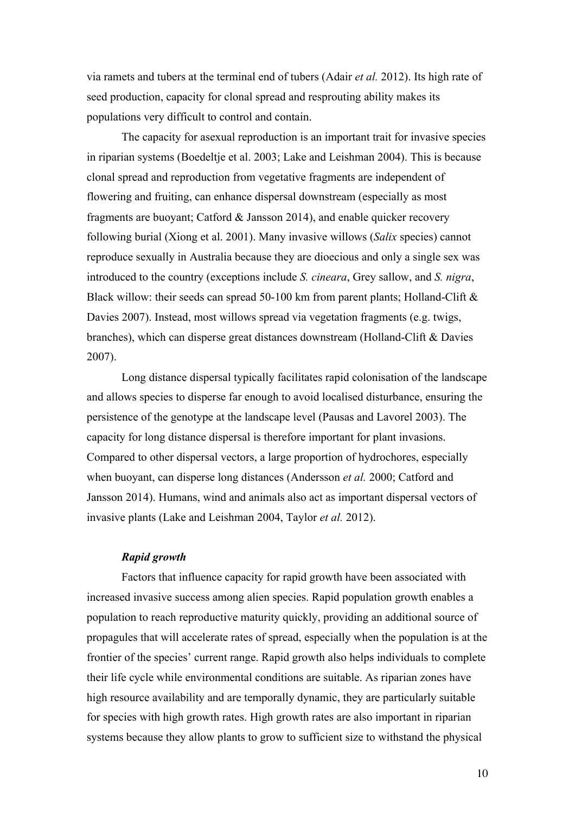via ramets and tubers at the terminal end of tubers (Adair *et al.* 2012). Its high rate of seed production, capacity for clonal spread and resprouting ability makes its populations very difficult to control and contain.

The capacity for asexual reproduction is an important trait for invasive species in riparian systems (Boedeltje et al. 2003; Lake and Leishman 2004). This is because clonal spread and reproduction from vegetative fragments are independent of flowering and fruiting, can enhance dispersal downstream (especially as most fragments are buoyant; Catford & Jansson 2014), and enable quicker recovery following burial (Xiong et al. 2001). Many invasive willows (*Salix* species) cannot reproduce sexually in Australia because they are dioecious and only a single sex was introduced to the country (exceptions include *S. cineara*, Grey sallow, and *S. nigra*, Black willow: their seeds can spread 50-100 km from parent plants; Holland-Clift  $\&$ Davies 2007). Instead, most willows spread via vegetation fragments (e.g. twigs, branches), which can disperse great distances downstream (Holland-Clift & Davies 2007).

Long distance dispersal typically facilitates rapid colonisation of the landscape and allows species to disperse far enough to avoid localised disturbance, ensuring the persistence of the genotype at the landscape level (Pausas and Lavorel 2003). The capacity for long distance dispersal is therefore important for plant invasions. Compared to other dispersal vectors, a large proportion of hydrochores, especially when buoyant, can disperse long distances (Andersson *et al.* 2000; Catford and Jansson 2014). Humans, wind and animals also act as important dispersal vectors of invasive plants (Lake and Leishman 2004, Taylor *et al.* 2012).

# *Rapid growth*

Factors that influence capacity for rapid growth have been associated with increased invasive success among alien species. Rapid population growth enables a population to reach reproductive maturity quickly, providing an additional source of propagules that will accelerate rates of spread, especially when the population is at the frontier of the species' current range. Rapid growth also helps individuals to complete their life cycle while environmental conditions are suitable. As riparian zones have high resource availability and are temporally dynamic, they are particularly suitable for species with high growth rates. High growth rates are also important in riparian systems because they allow plants to grow to sufficient size to withstand the physical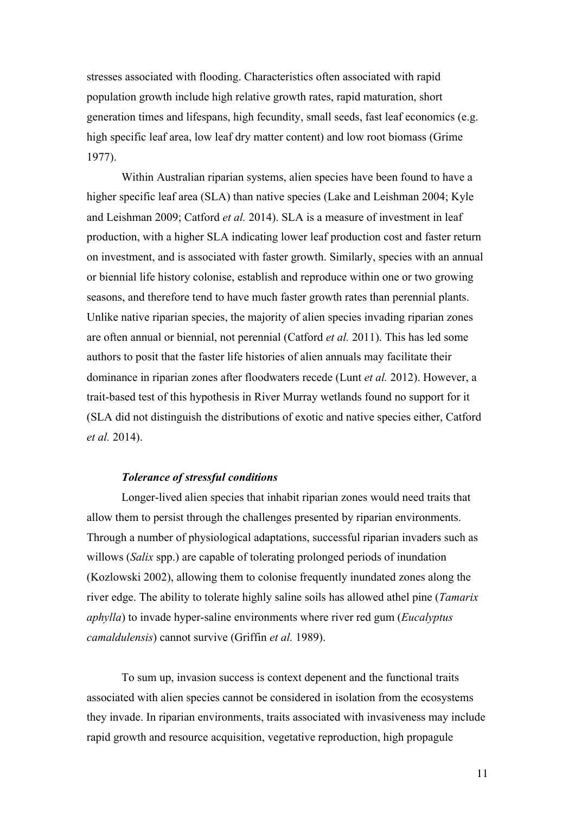stresses associated with flooding. Characteristics often associated with rapid population growth include high relative growth rates, rapid maturation, short generation times and lifespans, high fecundity, small seeds, fast leaf economics (e.g. high specific leaf area, low leaf dry matter content) and low root biomass (Grime 1977).

Within Australian riparian systems, alien species have been found to have a higher specific leaf area (SLA) than native species (Lake and Leishman 2004; Kyle and Leishman 2009; Catford *et al.* 2014). SLA is a measure of investment in leaf production, with a higher SLA indicating lower leaf production cost and faster return on investment, and is associated with faster growth. Similarly, species with an annual or biennial life history colonise, establish and reproduce within one or two growing seasons, and therefore tend to have much faster growth rates than perennial plants. Unlike native riparian species, the majority of alien species invading riparian zones are often annual or biennial, not perennial (Catford *et al.* 2011). This has led some authors to posit that the faster life histories of alien annuals may facilitate their dominance in riparian zones after floodwaters recede (Lunt *et al.* 2012). However, a trait-based test of this hypothesis in River Murray wetlands found no support for it (SLA did not distinguish the distributions of exotic and native species either, Catford *et al.* 2014).

## *Tolerance of stressful conditions*

Longer-lived alien species that inhabit riparian zones would need traits that allow them to persist through the challenges presented by riparian environments. Through a number of physiological adaptations, successful riparian invaders such as willows (*Salix* spp.) are capable of tolerating prolonged periods of inundation (Kozlowski 2002), allowing them to colonise frequently inundated zones along the river edge. The ability to tolerate highly saline soils has allowed athel pine (*Tamarix aphylla*) to invade hyper-saline environments where river red gum (*Eucalyptus camaldulensis*) cannot survive (Griffin *et al.* 1989).

To sum up, invasion success is context depenent and the functional traits associated with alien species cannot be considered in isolation from the ecosystems they invade. In riparian environments, traits associated with invasiveness may include rapid growth and resource acquisition, vegetative reproduction, high propagule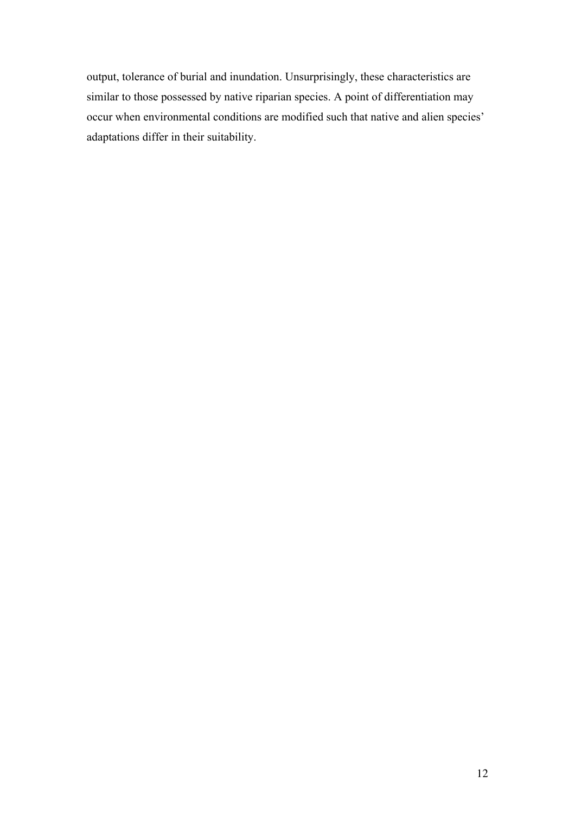output, tolerance of burial and inundation. Unsurprisingly, these characteristics are similar to those possessed by native riparian species. A point of differentiation may occur when environmental conditions are modified such that native and alien species' adaptations differ in their suitability.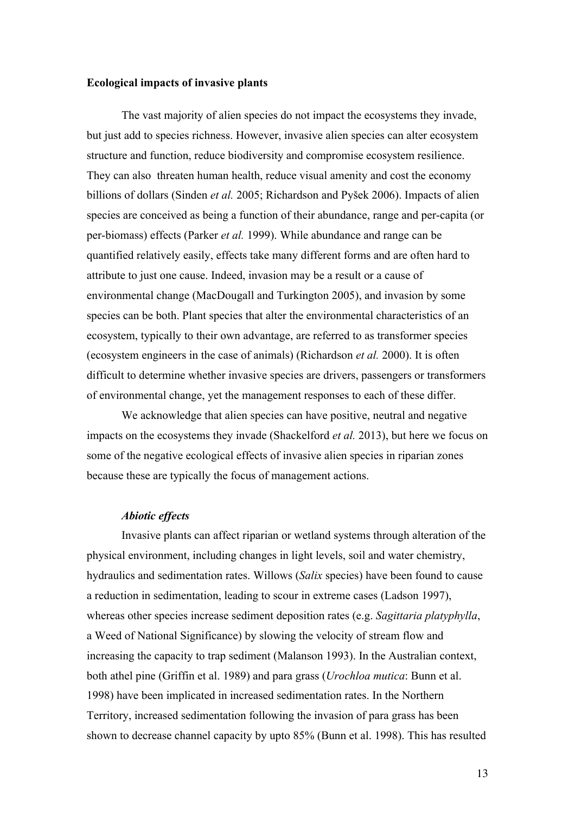## **Ecological impacts of invasive plants**

The vast majority of alien species do not impact the ecosystems they invade, but just add to species richness. However, invasive alien species can alter ecosystem structure and function, reduce biodiversity and compromise ecosystem resilience. They can also threaten human health, reduce visual amenity and cost the economy billions of dollars (Sinden *et al.* 2005; Richardson and Pyšek 2006). Impacts of alien species are conceived as being a function of their abundance, range and per-capita (or per-biomass) effects (Parker *et al.* 1999). While abundance and range can be quantified relatively easily, effects take many different forms and are often hard to attribute to just one cause. Indeed, invasion may be a result or a cause of environmental change (MacDougall and Turkington 2005), and invasion by some species can be both. Plant species that alter the environmental characteristics of an ecosystem, typically to their own advantage, are referred to as transformer species (ecosystem engineers in the case of animals) (Richardson *et al.* 2000). It is often difficult to determine whether invasive species are drivers, passengers or transformers of environmental change, yet the management responses to each of these differ.

We acknowledge that alien species can have positive, neutral and negative impacts on the ecosystems they invade (Shackelford *et al.* 2013), but here we focus on some of the negative ecological effects of invasive alien species in riparian zones because these are typically the focus of management actions.

## *Abiotic effects*

Invasive plants can affect riparian or wetland systems through alteration of the physical environment, including changes in light levels, soil and water chemistry, hydraulics and sedimentation rates. Willows (*Salix* species) have been found to cause a reduction in sedimentation, leading to scour in extreme cases (Ladson 1997), whereas other species increase sediment deposition rates (e.g. *Sagittaria platyphylla*, a Weed of National Significance) by slowing the velocity of stream flow and increasing the capacity to trap sediment (Malanson 1993). In the Australian context, both athel pine (Griffin et al. 1989) and para grass (*Urochloa mutica*: Bunn et al. 1998) have been implicated in increased sedimentation rates. In the Northern Territory, increased sedimentation following the invasion of para grass has been shown to decrease channel capacity by upto 85% (Bunn et al. 1998). This has resulted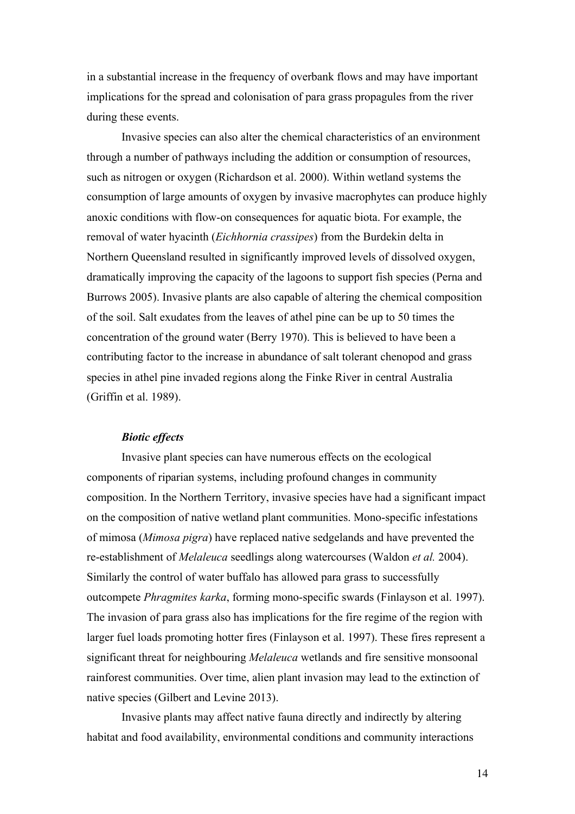in a substantial increase in the frequency of overbank flows and may have important implications for the spread and colonisation of para grass propagules from the river during these events.

Invasive species can also alter the chemical characteristics of an environment through a number of pathways including the addition or consumption of resources, such as nitrogen or oxygen (Richardson et al. 2000). Within wetland systems the consumption of large amounts of oxygen by invasive macrophytes can produce highly anoxic conditions with flow-on consequences for aquatic biota. For example, the removal of water hyacinth (*Eichhornia crassipes*) from the Burdekin delta in Northern Queensland resulted in significantly improved levels of dissolved oxygen, dramatically improving the capacity of the lagoons to support fish species (Perna and Burrows 2005). Invasive plants are also capable of altering the chemical composition of the soil. Salt exudates from the leaves of athel pine can be up to 50 times the concentration of the ground water (Berry 1970). This is believed to have been a contributing factor to the increase in abundance of salt tolerant chenopod and grass species in athel pine invaded regions along the Finke River in central Australia (Griffin et al. 1989).

#### *Biotic effects*

Invasive plant species can have numerous effects on the ecological components of riparian systems, including profound changes in community composition. In the Northern Territory, invasive species have had a significant impact on the composition of native wetland plant communities. Mono-specific infestations of mimosa (*Mimosa pigra*) have replaced native sedgelands and have prevented the re-establishment of *Melaleuca* seedlings along watercourses (Waldon *et al.* 2004). Similarly the control of water buffalo has allowed para grass to successfully outcompete *Phragmites karka*, forming mono-specific swards (Finlayson et al. 1997). The invasion of para grass also has implications for the fire regime of the region with larger fuel loads promoting hotter fires (Finlayson et al. 1997). These fires represent a significant threat for neighbouring *Melaleuca* wetlands and fire sensitive monsoonal rainforest communities. Over time, alien plant invasion may lead to the extinction of native species (Gilbert and Levine 2013).

Invasive plants may affect native fauna directly and indirectly by altering habitat and food availability, environmental conditions and community interactions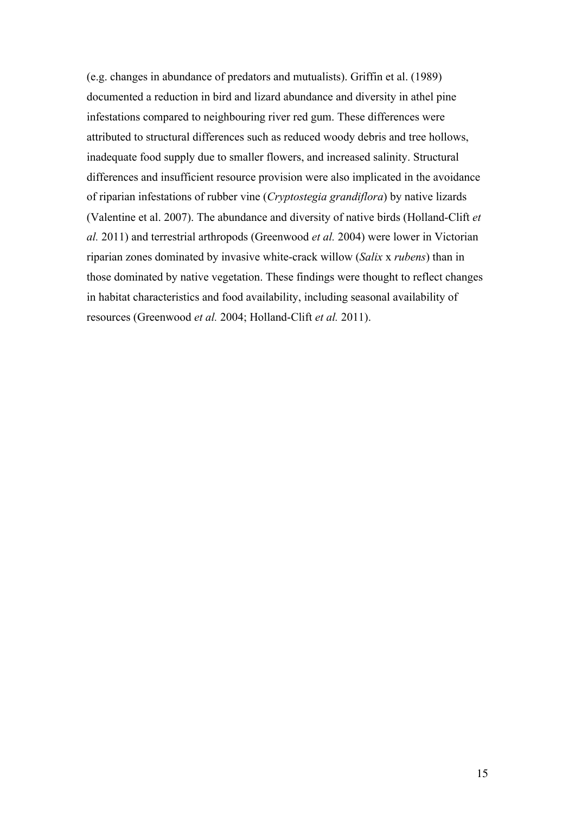(e.g. changes in abundance of predators and mutualists). Griffin et al. (1989) documented a reduction in bird and lizard abundance and diversity in athel pine infestations compared to neighbouring river red gum. These differences were attributed to structural differences such as reduced woody debris and tree hollows, inadequate food supply due to smaller flowers, and increased salinity. Structural differences and insufficient resource provision were also implicated in the avoidance of riparian infestations of rubber vine (*Cryptostegia grandiflora*) by native lizards (Valentine et al. 2007). The abundance and diversity of native birds (Holland-Clift *et al.* 2011) and terrestrial arthropods (Greenwood *et al.* 2004) were lower in Victorian riparian zones dominated by invasive white-crack willow (*Salix* x *rubens*) than in those dominated by native vegetation. These findings were thought to reflect changes in habitat characteristics and food availability, including seasonal availability of resources (Greenwood *et al.* 2004; Holland-Clift *et al.* 2011).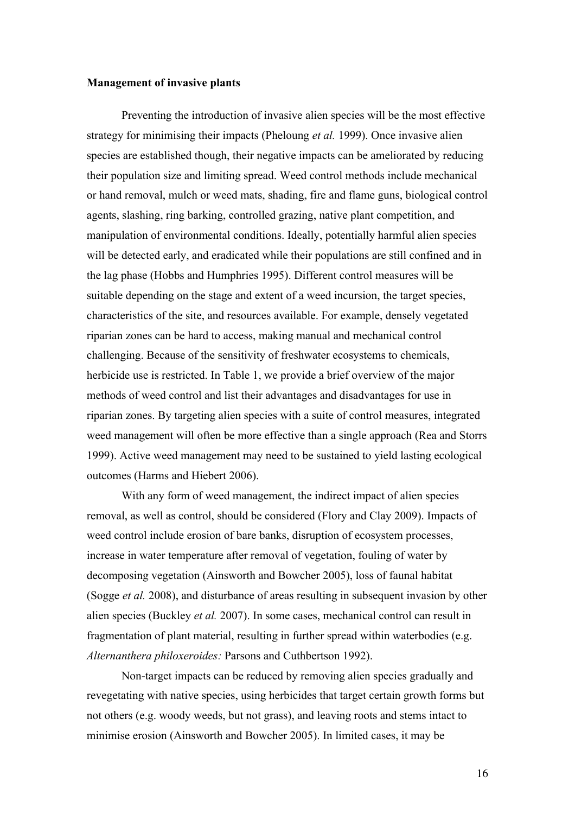## **Management of invasive plants**

Preventing the introduction of invasive alien species will be the most effective strategy for minimising their impacts (Pheloung *et al.* 1999). Once invasive alien species are established though, their negative impacts can be ameliorated by reducing their population size and limiting spread. Weed control methods include mechanical or hand removal, mulch or weed mats, shading, fire and flame guns, biological control agents, slashing, ring barking, controlled grazing, native plant competition, and manipulation of environmental conditions. Ideally, potentially harmful alien species will be detected early, and eradicated while their populations are still confined and in the lag phase (Hobbs and Humphries 1995). Different control measures will be suitable depending on the stage and extent of a weed incursion, the target species, characteristics of the site, and resources available. For example, densely vegetated riparian zones can be hard to access, making manual and mechanical control challenging. Because of the sensitivity of freshwater ecosystems to chemicals, herbicide use is restricted. In Table 1, we provide a brief overview of the major methods of weed control and list their advantages and disadvantages for use in riparian zones. By targeting alien species with a suite of control measures, integrated weed management will often be more effective than a single approach (Rea and Storrs 1999). Active weed management may need to be sustained to yield lasting ecological outcomes (Harms and Hiebert 2006).

With any form of weed management, the indirect impact of alien species removal, as well as control, should be considered (Flory and Clay 2009). Impacts of weed control include erosion of bare banks, disruption of ecosystem processes, increase in water temperature after removal of vegetation, fouling of water by decomposing vegetation (Ainsworth and Bowcher 2005), loss of faunal habitat (Sogge *et al.* 2008), and disturbance of areas resulting in subsequent invasion by other alien species (Buckley *et al.* 2007). In some cases, mechanical control can result in fragmentation of plant material, resulting in further spread within waterbodies (e.g. *Alternanthera philoxeroides:* Parsons and Cuthbertson 1992).

Non-target impacts can be reduced by removing alien species gradually and revegetating with native species, using herbicides that target certain growth forms but not others (e.g. woody weeds, but not grass), and leaving roots and stems intact to minimise erosion (Ainsworth and Bowcher 2005). In limited cases, it may be

16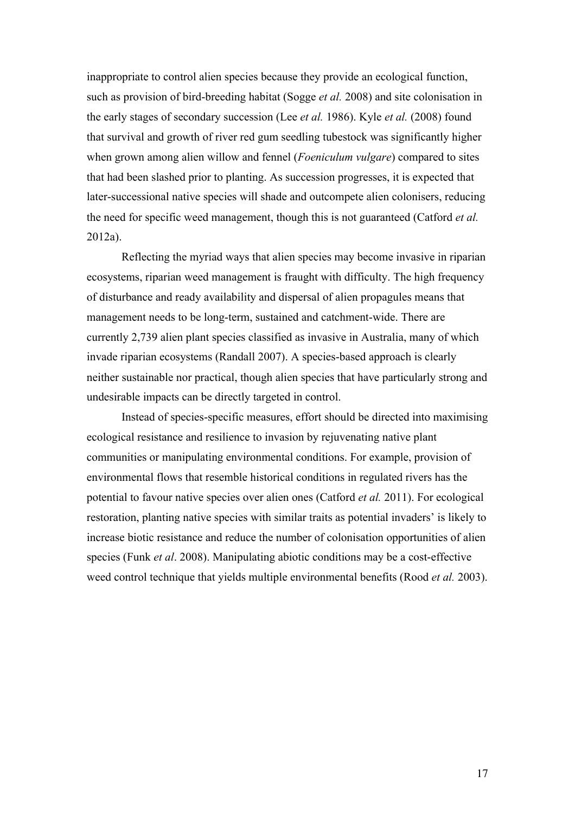inappropriate to control alien species because they provide an ecological function, such as provision of bird-breeding habitat (Sogge *et al.* 2008) and site colonisation in the early stages of secondary succession (Lee *et al.* 1986). Kyle *et al.* (2008) found that survival and growth of river red gum seedling tubestock was significantly higher when grown among alien willow and fennel (*Foeniculum vulgare*) compared to sites that had been slashed prior to planting. As succession progresses, it is expected that later-successional native species will shade and outcompete alien colonisers, reducing the need for specific weed management, though this is not guaranteed (Catford *et al.* 2012a).

Reflecting the myriad ways that alien species may become invasive in riparian ecosystems, riparian weed management is fraught with difficulty. The high frequency of disturbance and ready availability and dispersal of alien propagules means that management needs to be long-term, sustained and catchment-wide. There are currently 2,739 alien plant species classified as invasive in Australia, many of which invade riparian ecosystems (Randall 2007). A species-based approach is clearly neither sustainable nor practical, though alien species that have particularly strong and undesirable impacts can be directly targeted in control.

Instead of species-specific measures, effort should be directed into maximising ecological resistance and resilience to invasion by rejuvenating native plant communities or manipulating environmental conditions. For example, provision of environmental flows that resemble historical conditions in regulated rivers has the potential to favour native species over alien ones (Catford *et al.* 2011). For ecological restoration, planting native species with similar traits as potential invaders' is likely to increase biotic resistance and reduce the number of colonisation opportunities of alien species (Funk *et al*. 2008). Manipulating abiotic conditions may be a cost-effective weed control technique that yields multiple environmental benefits (Rood *et al.* 2003).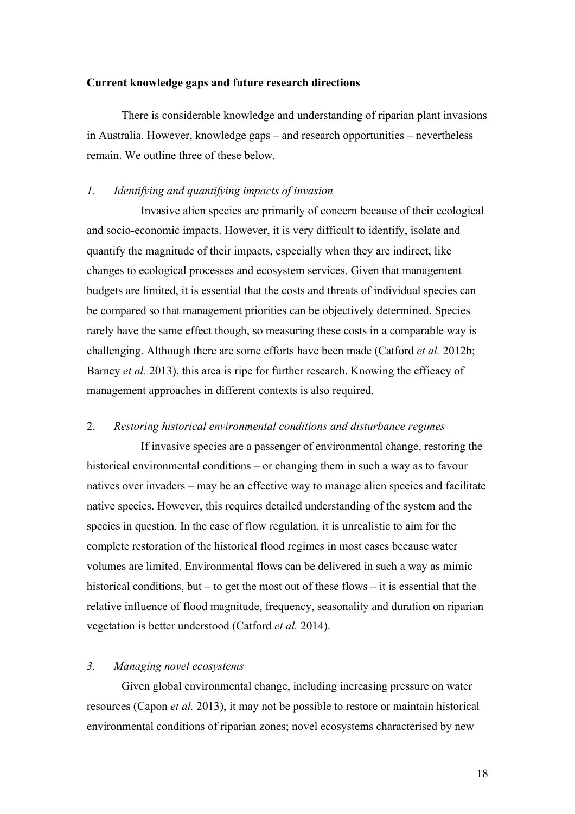## **Current knowledge gaps and future research directions**

There is considerable knowledge and understanding of riparian plant invasions in Australia. However, knowledge gaps – and research opportunities – nevertheless remain. We outline three of these below.

## *1. Identifying and quantifying impacts of invasion*

Invasive alien species are primarily of concern because of their ecological and socio-economic impacts. However, it is very difficult to identify, isolate and quantify the magnitude of their impacts, especially when they are indirect, like changes to ecological processes and ecosystem services. Given that management budgets are limited, it is essential that the costs and threats of individual species can be compared so that management priorities can be objectively determined. Species rarely have the same effect though, so measuring these costs in a comparable way is challenging. Although there are some efforts have been made (Catford *et al.* 2012b; Barney *et al.* 2013), this area is ripe for further research. Knowing the efficacy of management approaches in different contexts is also required.

## 2. *Restoring historical environmental conditions and disturbance regimes*

If invasive species are a passenger of environmental change, restoring the historical environmental conditions – or changing them in such a way as to favour natives over invaders – may be an effective way to manage alien species and facilitate native species. However, this requires detailed understanding of the system and the species in question. In the case of flow regulation, it is unrealistic to aim for the complete restoration of the historical flood regimes in most cases because water volumes are limited. Environmental flows can be delivered in such a way as mimic historical conditions, but – to get the most out of these flows – it is essential that the relative influence of flood magnitude, frequency, seasonality and duration on riparian vegetation is better understood (Catford *et al.* 2014).

## *3. Managing novel ecosystems*

Given global environmental change, including increasing pressure on water resources (Capon *et al.* 2013), it may not be possible to restore or maintain historical environmental conditions of riparian zones; novel ecosystems characterised by new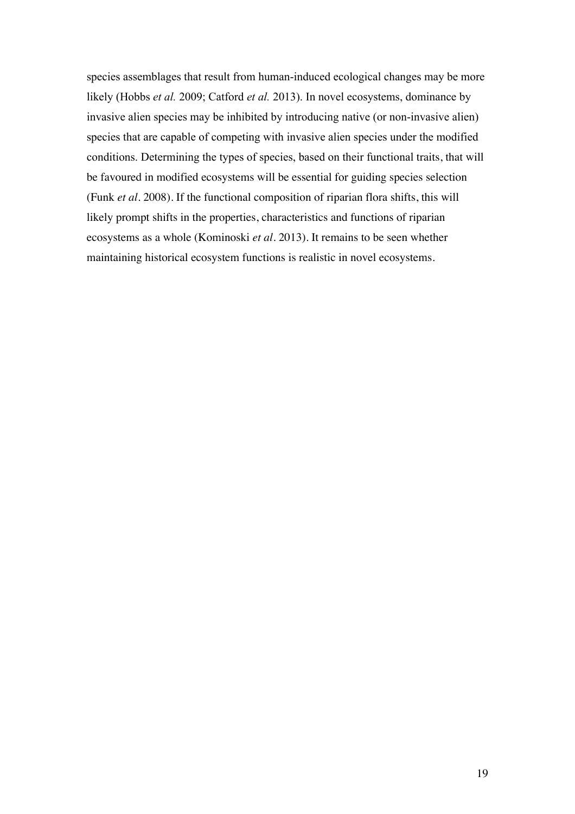species assemblages that result from human-induced ecological changes may be more likely (Hobbs *et al.* 2009; Catford *et al.* 2013). In novel ecosystems, dominance by invasive alien species may be inhibited by introducing native (or non-invasive alien) species that are capable of competing with invasive alien species under the modified conditions. Determining the types of species, based on their functional traits, that will be favoured in modified ecosystems will be essential for guiding species selection (Funk *et al.* 2008). If the functional composition of riparian flora shifts, this will likely prompt shifts in the properties, characteristics and functions of riparian ecosystems as a whole (Kominoski *et al.* 2013). It remains to be seen whether maintaining historical ecosystem functions is realistic in novel ecosystems.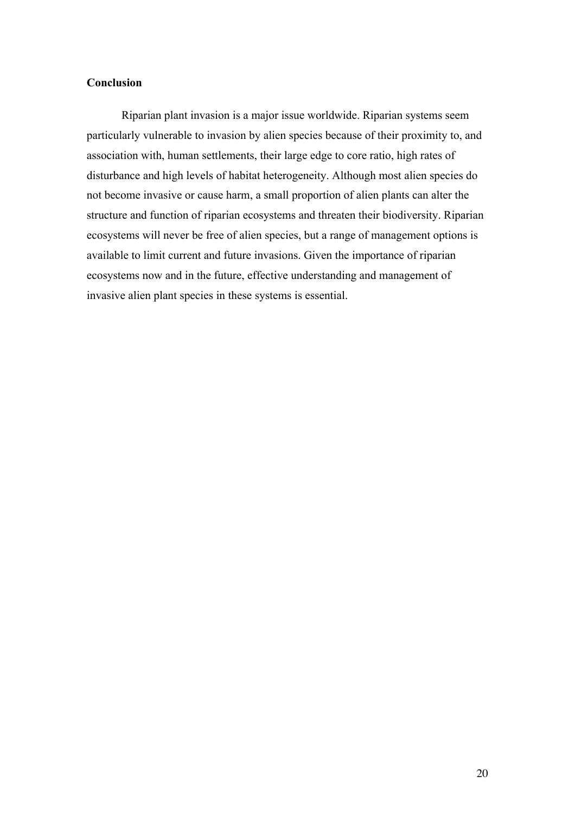# **Conclusion**

Riparian plant invasion is a major issue worldwide. Riparian systems seem particularly vulnerable to invasion by alien species because of their proximity to, and association with, human settlements, their large edge to core ratio, high rates of disturbance and high levels of habitat heterogeneity. Although most alien species do not become invasive or cause harm, a small proportion of alien plants can alter the structure and function of riparian ecosystems and threaten their biodiversity. Riparian ecosystems will never be free of alien species, but a range of management options is available to limit current and future invasions. Given the importance of riparian ecosystems now and in the future, effective understanding and management of invasive alien plant species in these systems is essential.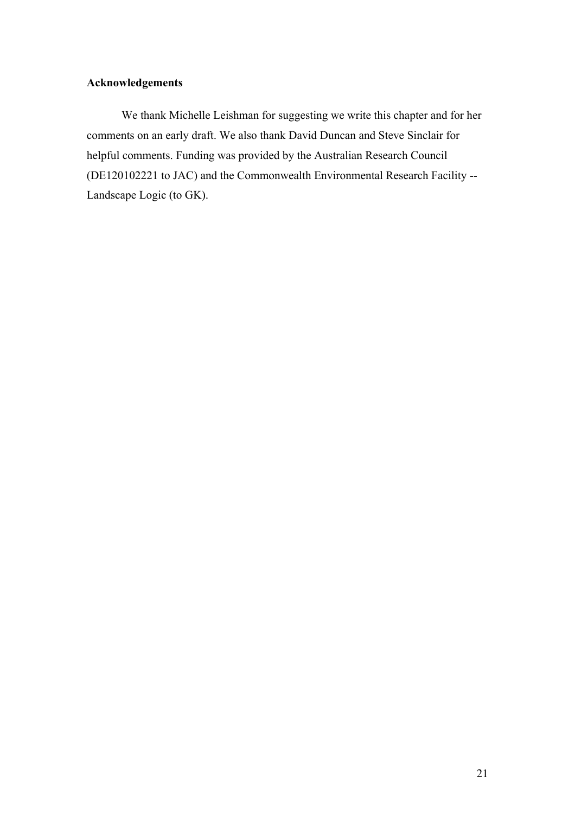# **Acknowledgements**

We thank Michelle Leishman for suggesting we write this chapter and for her comments on an early draft. We also thank David Duncan and Steve Sinclair for helpful comments. Funding was provided by the Australian Research Council (DE120102221 to JAC) and the Commonwealth Environmental Research Facility -- Landscape Logic (to GK).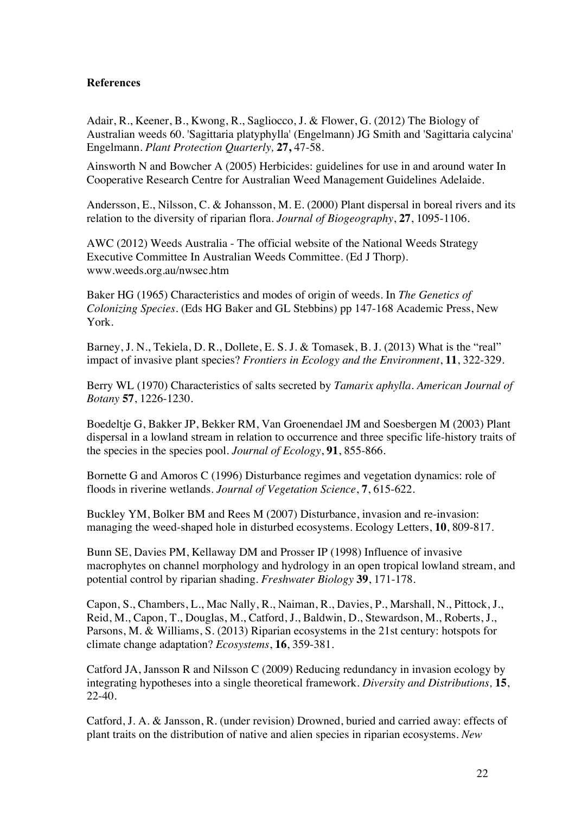# **References**

Adair, R., Keener, B., Kwong, R., Sagliocco, J. & Flower, G. (2012) The Biology of Australian weeds 60. 'Sagittaria platyphylla' (Engelmann) JG Smith and 'Sagittaria calycina' Engelmann. *Plant Protection Quarterly,* **27,** 47-58.

Ainsworth N and Bowcher A (2005) Herbicides: guidelines for use in and around water In Cooperative Research Centre for Australian Weed Management Guidelines Adelaide.

Andersson, E., Nilsson, C. & Johansson, M. E. (2000) Plant dispersal in boreal rivers and its relation to the diversity of riparian flora. *Journal of Biogeography*, **27**, 1095-1106.

AWC (2012) Weeds Australia - The official website of the National Weeds Strategy Executive Committee In Australian Weeds Committee. (Ed J Thorp). www.weeds.org.au/nwsec.htm

Baker HG (1965) Characteristics and modes of origin of weeds. In *The Genetics of Colonizing Species.* (Eds HG Baker and GL Stebbins) pp 147-168 Academic Press, New York.

Barney, J. N., Tekiela, D. R., Dollete, E. S. J. & Tomasek, B. J. (2013) What is the "real" impact of invasive plant species? *Frontiers in Ecology and the Environment*, **11**, 322-329.

Berry WL (1970) Characteristics of salts secreted by *Tamarix aphylla. American Journal of Botany* **57**, 1226-1230.

Boedeltje G, Bakker JP, Bekker RM, Van Groenendael JM and Soesbergen M (2003) Plant dispersal in a lowland stream in relation to occurrence and three specific life-history traits of the species in the species pool. *Journal of Ecology*, **91**, 855-866.

Bornette G and Amoros C (1996) Disturbance regimes and vegetation dynamics: role of floods in riverine wetlands. *Journal of Vegetation Science*, **7**, 615-622.

Buckley YM, Bolker BM and Rees M (2007) Disturbance, invasion and re-invasion: managing the weed-shaped hole in disturbed ecosystems. Ecology Letters, **10**, 809-817.

Bunn SE, Davies PM, Kellaway DM and Prosser IP (1998) Influence of invasive macrophytes on channel morphology and hydrology in an open tropical lowland stream, and potential control by riparian shading. *Freshwater Biology* **39**, 171-178.

Capon, S., Chambers, L., Mac Nally, R., Naiman, R., Davies, P., Marshall, N., Pittock, J., Reid, M., Capon, T., Douglas, M., Catford, J., Baldwin, D., Stewardson, M., Roberts, J., Parsons, M. & Williams, S. (2013) Riparian ecosystems in the 21st century: hotspots for climate change adaptation? *Ecosystems*, **16**, 359-381.

Catford JA, Jansson R and Nilsson C (2009) Reducing redundancy in invasion ecology by integrating hypotheses into a single theoretical framework. *Diversity and Distributions,* **15**, 22-40.

Catford, J. A. & Jansson, R. (under revision) Drowned, buried and carried away: effects of plant traits on the distribution of native and alien species in riparian ecosystems. *New*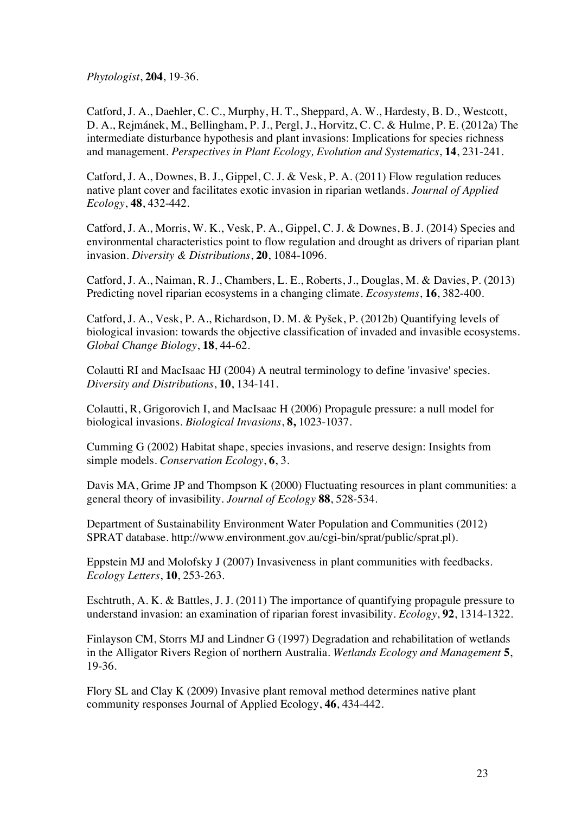*Phytologist*, **204**, 19-36.

Catford, J. A., Daehler, C. C., Murphy, H. T., Sheppard, A. W., Hardesty, B. D., Westcott, D. A., Rejmánek, M., Bellingham, P. J., Pergl, J., Horvitz, C. C. & Hulme, P. E. (2012a) The intermediate disturbance hypothesis and plant invasions: Implications for species richness and management. *Perspectives in Plant Ecology, Evolution and Systematics*, **14**, 231-241.

Catford, J. A., Downes, B. J., Gippel, C. J. & Vesk, P. A. (2011) Flow regulation reduces native plant cover and facilitates exotic invasion in riparian wetlands. *Journal of Applied Ecology*, **48**, 432-442.

Catford, J. A., Morris, W. K., Vesk, P. A., Gippel, C. J. & Downes, B. J. (2014) Species and environmental characteristics point to flow regulation and drought as drivers of riparian plant invasion. *Diversity & Distributions*, **20**, 1084-1096.

Catford, J. A., Naiman, R. J., Chambers, L. E., Roberts, J., Douglas, M. & Davies, P. (2013) Predicting novel riparian ecosystems in a changing climate. *Ecosystems*, **16**, 382-400.

Catford, J. A., Vesk, P. A., Richardson, D. M. & Pyšek, P. (2012b) Quantifying levels of biological invasion: towards the objective classification of invaded and invasible ecosystems. *Global Change Biology*, **18**, 44-62.

Colautti RI and MacIsaac HJ (2004) A neutral terminology to define 'invasive' species. *Diversity and Distributions*, **10**, 134-141.

Colautti, R, Grigorovich I, and MacIsaac H (2006) Propagule pressure: a null model for biological invasions. *Biological Invasions*, **8,** 1023-1037.

Cumming G (2002) Habitat shape, species invasions, and reserve design: Insights from simple models. *Conservation Ecology*, **6**, 3.

Davis MA, Grime JP and Thompson K (2000) Fluctuating resources in plant communities: a general theory of invasibility. *Journal of Ecology* **88**, 528-534.

Department of Sustainability Environment Water Population and Communities (2012) SPRAT database. http://www.environment.gov.au/cgi-bin/sprat/public/sprat.pl).

Eppstein MJ and Molofsky J (2007) Invasiveness in plant communities with feedbacks. *Ecology Letters*, **10**, 253-263.

Eschtruth, A. K. & Battles, J. J. (2011) The importance of quantifying propagule pressure to understand invasion: an examination of riparian forest invasibility. *Ecology*, **92**, 1314-1322.

Finlayson CM, Storrs MJ and Lindner G (1997) Degradation and rehabilitation of wetlands in the Alligator Rivers Region of northern Australia. *Wetlands Ecology and Management* **5**, 19-36.

Flory SL and Clay K (2009) Invasive plant removal method determines native plant community responses Journal of Applied Ecology, **46**, 434-442.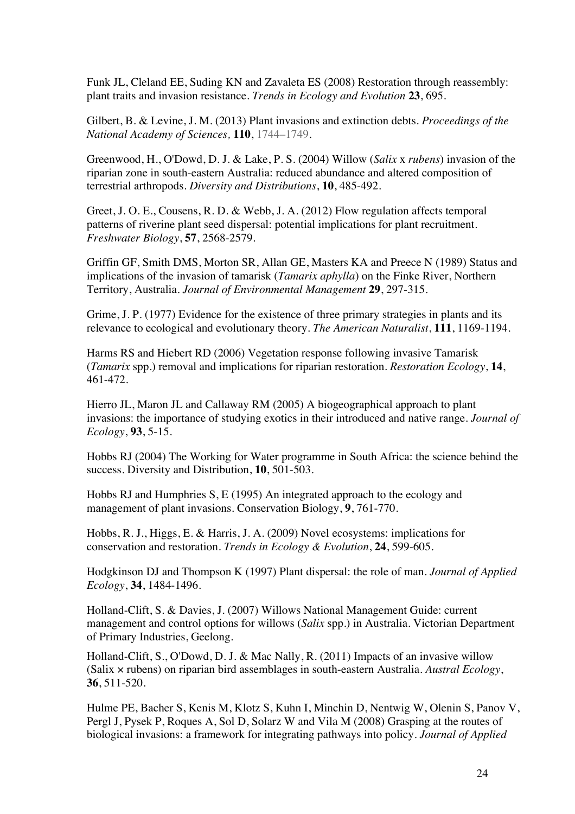Funk JL, Cleland EE, Suding KN and Zavaleta ES (2008) Restoration through reassembly: plant traits and invasion resistance. *Trends in Ecology and Evolution* **23**, 695.

Gilbert, B. & Levine, J. M. (2013) Plant invasions and extinction debts. *Proceedings of the National Academy of Sciences,* **110**, 1744–1749.

Greenwood, H., O'Dowd, D. J. & Lake, P. S. (2004) Willow (*Salix* x *rubens*) invasion of the riparian zone in south-eastern Australia: reduced abundance and altered composition of terrestrial arthropods. *Diversity and Distributions*, **10**, 485-492.

Greet, J. O. E., Cousens, R. D. & Webb, J. A. (2012) Flow regulation affects temporal patterns of riverine plant seed dispersal: potential implications for plant recruitment. *Freshwater Biology*, **57**, 2568-2579.

Griffin GF, Smith DMS, Morton SR, Allan GE, Masters KA and Preece N (1989) Status and implications of the invasion of tamarisk (*Tamarix aphylla*) on the Finke River, Northern Territory, Australia. *Journal of Environmental Management* **29**, 297-315.

Grime, J. P. (1977) Evidence for the existence of three primary strategies in plants and its relevance to ecological and evolutionary theory. *The American Naturalist*, **111**, 1169-1194.

Harms RS and Hiebert RD (2006) Vegetation response following invasive Tamarisk (*Tamarix* spp.) removal and implications for riparian restoration. *Restoration Ecology*, **14**, 461-472.

Hierro JL, Maron JL and Callaway RM (2005) A biogeographical approach to plant invasions: the importance of studying exotics in their introduced and native range. *Journal of Ecology*, **93**, 5-15.

Hobbs RJ (2004) The Working for Water programme in South Africa: the science behind the success. Diversity and Distribution, **10**, 501-503.

Hobbs RJ and Humphries S, E (1995) An integrated approach to the ecology and management of plant invasions. Conservation Biology, **9**, 761-770.

Hobbs, R. J., Higgs, E. & Harris, J. A. (2009) Novel ecosystems: implications for conservation and restoration. *Trends in Ecology & Evolution*, **24**, 599-605.

Hodgkinson DJ and Thompson K (1997) Plant dispersal: the role of man. *Journal of Applied Ecology*, **34**, 1484-1496.

Holland-Clift, S. & Davies, J. (2007) Willows National Management Guide: current management and control options for willows (*Salix* spp.) in Australia. Victorian Department of Primary Industries, Geelong.

Holland-Clift, S., O'Dowd, D. J. & Mac Nally, R. (2011) Impacts of an invasive willow (Salix × rubens) on riparian bird assemblages in south-eastern Australia. *Austral Ecology*, **36**, 511-520.

Hulme PE, Bacher S, Kenis M, Klotz S, Kuhn I, Minchin D, Nentwig W, Olenin S, Panov V, Pergl J, Pysek P, Roques A, Sol D, Solarz W and Vila M (2008) Grasping at the routes of biological invasions: a framework for integrating pathways into policy. *Journal of Applied*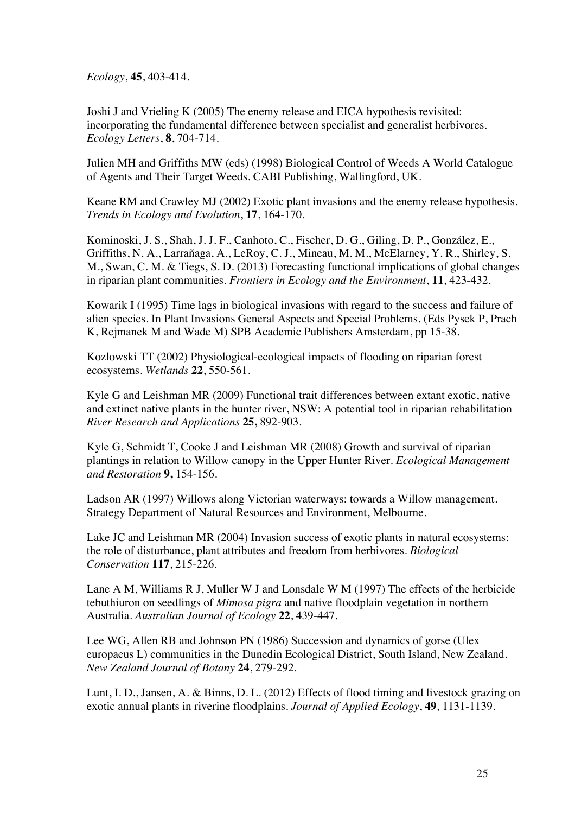*Ecology*, **45**, 403-414.

Joshi J and Vrieling K (2005) The enemy release and EICA hypothesis revisited: incorporating the fundamental difference between specialist and generalist herbivores. *Ecology Letters*, **8**, 704-714.

Julien MH and Griffiths MW (eds) (1998) Biological Control of Weeds A World Catalogue of Agents and Their Target Weeds. CABI Publishing, Wallingford, UK.

Keane RM and Crawley MJ (2002) Exotic plant invasions and the enemy release hypothesis. *Trends in Ecology and Evolution*, **17**, 164-170.

Kominoski, J. S., Shah, J. J. F., Canhoto, C., Fischer, D. G., Giling, D. P., González, E., Griffiths, N. A., Larrañaga, A., LeRoy, C. J., Mineau, M. M., McElarney, Y. R., Shirley, S. M., Swan, C. M. & Tiegs, S. D. (2013) Forecasting functional implications of global changes in riparian plant communities. *Frontiers in Ecology and the Environment*, **11**, 423-432.

Kowarik I (1995) Time lags in biological invasions with regard to the success and failure of alien species. In Plant Invasions General Aspects and Special Problems. (Eds Pysek P, Prach K, Rejmanek M and Wade M) SPB Academic Publishers Amsterdam, pp 15-38.

Kozlowski TT (2002) Physiological-ecological impacts of flooding on riparian forest ecosystems. *Wetlands* **22**, 550-561.

Kyle G and Leishman MR (2009) Functional trait differences between extant exotic, native and extinct native plants in the hunter river, NSW: A potential tool in riparian rehabilitation *River Research and Applications* **25,** 892-903*.*

Kyle G, Schmidt T, Cooke J and Leishman MR (2008) Growth and survival of riparian plantings in relation to Willow canopy in the Upper Hunter River. *Ecological Management and Restoration* **9,** 154-156.

Ladson AR (1997) Willows along Victorian waterways: towards a Willow management. Strategy Department of Natural Resources and Environment, Melbourne.

Lake JC and Leishman MR (2004) Invasion success of exotic plants in natural ecosystems: the role of disturbance, plant attributes and freedom from herbivores. *Biological Conservation* **117**, 215-226.

Lane A M, Williams R J, Muller W J and Lonsdale W M (1997) The effects of the herbicide tebuthiuron on seedlings of *Mimosa pigra* and native floodplain vegetation in northern Australia. *Australian Journal of Ecology* **22**, 439-447.

Lee WG, Allen RB and Johnson PN (1986) Succession and dynamics of gorse (Ulex europaeus L) communities in the Dunedin Ecological District, South Island, New Zealand. *New Zealand Journal of Botany* **24**, 279-292.

Lunt, I. D., Jansen, A. & Binns, D. L. (2012) Effects of flood timing and livestock grazing on exotic annual plants in riverine floodplains. *Journal of Applied Ecology*, **49**, 1131-1139.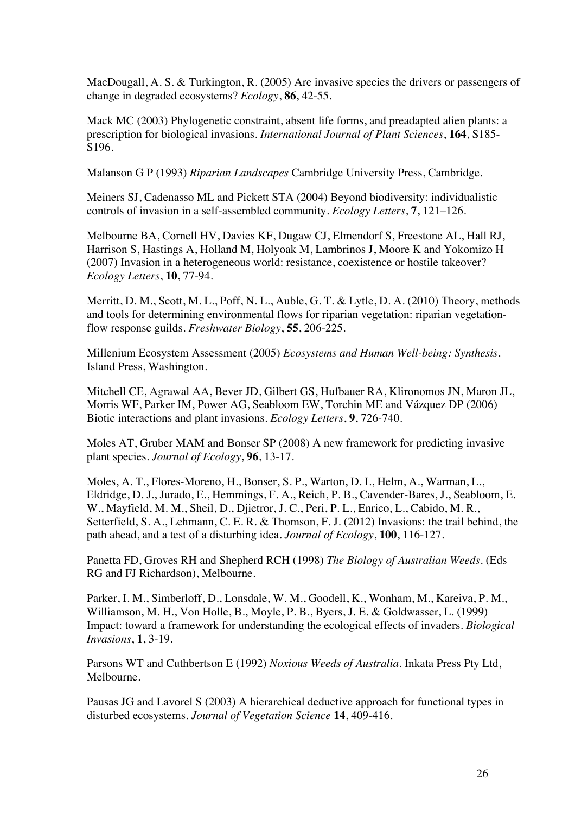MacDougall, A. S. & Turkington, R. (2005) Are invasive species the drivers or passengers of change in degraded ecosystems? *Ecology*, **86**, 42-55.

Mack MC (2003) Phylogenetic constraint, absent life forms, and preadapted alien plants: a prescription for biological invasions. *International Journal of Plant Sciences*, **164**, S185- S196.

Malanson G P (1993) *Riparian Landscapes* Cambridge University Press, Cambridge.

Meiners SJ, Cadenasso ML and Pickett STA (2004) Beyond biodiversity: individualistic controls of invasion in a self-assembled community. *Ecology Letters*, **7**, 121–126.

Melbourne BA, Cornell HV, Davies KF, Dugaw CJ, Elmendorf S, Freestone AL, Hall RJ, Harrison S, Hastings A, Holland M, Holyoak M, Lambrinos J, Moore K and Yokomizo H (2007) Invasion in a heterogeneous world: resistance, coexistence or hostile takeover? *Ecology Letters*, **10**, 77-94.

Merritt, D. M., Scott, M. L., Poff, N. L., Auble, G. T. & Lytle, D. A. (2010) Theory, methods and tools for determining environmental flows for riparian vegetation: riparian vegetationflow response guilds. *Freshwater Biology*, **55**, 206-225.

Millenium Ecosystem Assessment (2005) *Ecosystems and Human Well-being: Synthesis.* Island Press, Washington.

Mitchell CE, Agrawal AA, Bever JD, Gilbert GS, Hufbauer RA, Klironomos JN, Maron JL, Morris WF, Parker IM, Power AG, Seabloom EW, Torchin ME and Vázquez DP (2006) Biotic interactions and plant invasions. *Ecology Letters*, **9**, 726-740.

Moles AT, Gruber MAM and Bonser SP (2008) A new framework for predicting invasive plant species. *Journal of Ecology*, **96**, 13-17.

Moles, A. T., Flores-Moreno, H., Bonser, S. P., Warton, D. I., Helm, A., Warman, L., Eldridge, D. J., Jurado, E., Hemmings, F. A., Reich, P. B., Cavender-Bares, J., Seabloom, E. W., Mayfield, M. M., Sheil, D., Djietror, J. C., Peri, P. L., Enrico, L., Cabido, M. R., Setterfield, S. A., Lehmann, C. E. R. & Thomson, F. J. (2012) Invasions: the trail behind, the path ahead, and a test of a disturbing idea. *Journal of Ecology*, **100**, 116-127.

Panetta FD, Groves RH and Shepherd RCH (1998) *The Biology of Australian Weeds*. (Eds RG and FJ Richardson), Melbourne.

Parker, I. M., Simberloff, D., Lonsdale, W. M., Goodell, K., Wonham, M., Kareiva, P. M., Williamson, M. H., Von Holle, B., Moyle, P. B., Byers, J. E. & Goldwasser, L. (1999) Impact: toward a framework for understanding the ecological effects of invaders. *Biological Invasions*, **1**, 3-19.

Parsons WT and Cuthbertson E (1992) *Noxious Weeds of Australia*. Inkata Press Pty Ltd, Melbourne.

Pausas JG and Lavorel S (2003) A hierarchical deductive approach for functional types in disturbed ecosystems. *Journal of Vegetation Science* **14**, 409-416.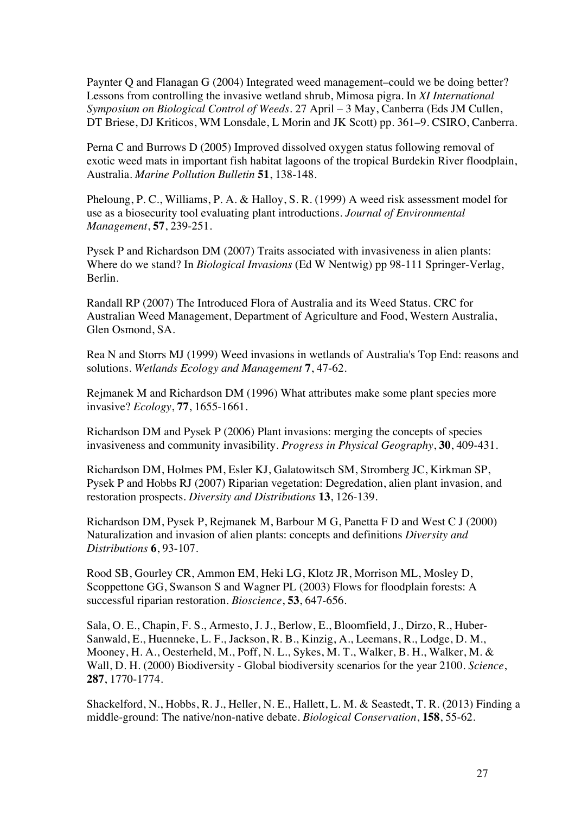Paynter Q and Flanagan G (2004) Integrated weed management–could we be doing better? Lessons from controlling the invasive wetland shrub, Mimosa pigra. In *XI International Symposium on Biological Control of Weeds.* 27 April – 3 May, Canberra (Eds JM Cullen, DT Briese, DJ Kriticos, WM Lonsdale, L Morin and JK Scott) pp. 361–9. CSIRO, Canberra.

Perna C and Burrows D (2005) Improved dissolved oxygen status following removal of exotic weed mats in important fish habitat lagoons of the tropical Burdekin River floodplain, Australia. *Marine Pollution Bulletin* **51**, 138-148.

Pheloung, P. C., Williams, P. A. & Halloy, S. R. (1999) A weed risk assessment model for use as a biosecurity tool evaluating plant introductions. *Journal of Environmental Management*, **57**, 239-251.

Pysek P and Richardson DM (2007) Traits associated with invasiveness in alien plants: Where do we stand? In *Biological Invasions* (Ed W Nentwig) pp 98-111 Springer-Verlag, Berlin.

Randall RP (2007) The Introduced Flora of Australia and its Weed Status. CRC for Australian Weed Management, Department of Agriculture and Food, Western Australia, Glen Osmond, SA.

Rea N and Storrs MJ (1999) Weed invasions in wetlands of Australia's Top End: reasons and solutions. *Wetlands Ecology and Management* **7**, 47-62.

Rejmanek M and Richardson DM (1996) What attributes make some plant species more invasive? *Ecology*, **77**, 1655-1661.

Richardson DM and Pysek P (2006) Plant invasions: merging the concepts of species invasiveness and community invasibility. *Progress in Physical Geography*, **30**, 409-431.

Richardson DM, Holmes PM, Esler KJ, Galatowitsch SM, Stromberg JC, Kirkman SP, Pysek P and Hobbs RJ (2007) Riparian vegetation: Degredation, alien plant invasion, and restoration prospects. *Diversity and Distributions* **13**, 126-139.

Richardson DM, Pysek P, Rejmanek M, Barbour M G, Panetta F D and West C J (2000) Naturalization and invasion of alien plants: concepts and definitions *Diversity and Distributions* **6**, 93-107.

Rood SB, Gourley CR, Ammon EM, Heki LG, Klotz JR, Morrison ML, Mosley D, Scoppettone GG, Swanson S and Wagner PL (2003) Flows for floodplain forests: A successful riparian restoration. *Bioscience*, **53**, 647-656.

Sala, O. E., Chapin, F. S., Armesto, J. J., Berlow, E., Bloomfield, J., Dirzo, R., Huber-Sanwald, E., Huenneke, L. F., Jackson, R. B., Kinzig, A., Leemans, R., Lodge, D. M., Mooney, H. A., Oesterheld, M., Poff, N. L., Sykes, M. T., Walker, B. H., Walker, M. & Wall, D. H. (2000) Biodiversity - Global biodiversity scenarios for the year 2100. *Science*, **287**, 1770-1774.

Shackelford, N., Hobbs, R. J., Heller, N. E., Hallett, L. M. & Seastedt, T. R. (2013) Finding a middle-ground: The native/non-native debate. *Biological Conservation*, **158**, 55-62.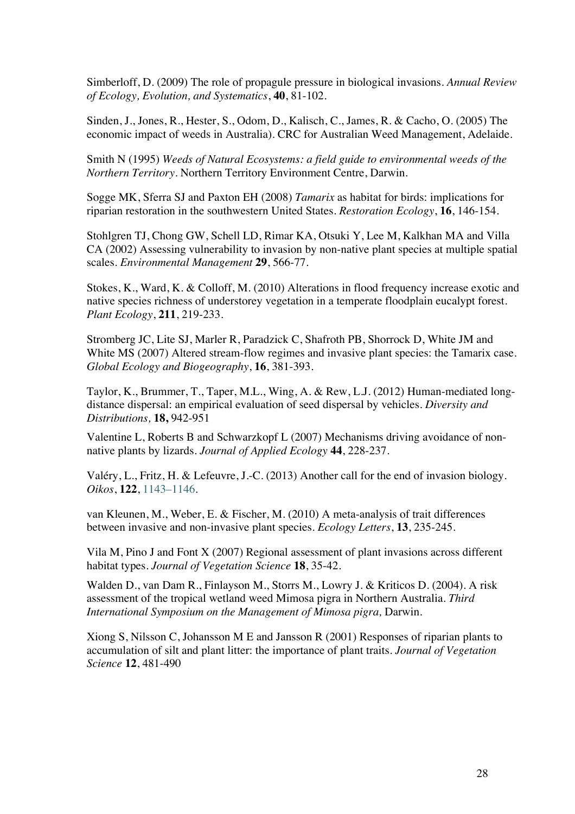Simberloff, D. (2009) The role of propagule pressure in biological invasions. *Annual Review of Ecology, Evolution, and Systematics*, **40**, 81-102.

Sinden, J., Jones, R., Hester, S., Odom, D., Kalisch, C., James, R. & Cacho, O. (2005) The economic impact of weeds in Australia). CRC for Australian Weed Management, Adelaide.

Smith N (1995) *Weeds of Natural Ecosystems: a field guide to environmental weeds of the Northern Territory*. Northern Territory Environment Centre, Darwin.

Sogge MK, Sferra SJ and Paxton EH (2008) *Tamarix* as habitat for birds: implications for riparian restoration in the southwestern United States. *Restoration Ecology*, **16**, 146-154.

Stohlgren TJ, Chong GW, Schell LD, Rimar KA, Otsuki Y, Lee M, Kalkhan MA and Villa CA (2002) Assessing vulnerability to invasion by non-native plant species at multiple spatial scales. *Environmental Management* **29**, 566-77.

Stokes, K., Ward, K. & Colloff, M. (2010) Alterations in flood frequency increase exotic and native species richness of understorey vegetation in a temperate floodplain eucalypt forest. *Plant Ecology*, **211**, 219-233.

Stromberg JC, Lite SJ, Marler R, Paradzick C, Shafroth PB, Shorrock D, White JM and White MS (2007) Altered stream-flow regimes and invasive plant species: the Tamarix case. *Global Ecology and Biogeography*, **16**, 381-393.

Taylor, K., Brummer, T., Taper, M.L., Wing, A. & Rew, L.J. (2012) Human-mediated longdistance dispersal: an empirical evaluation of seed dispersal by vehicles. *Diversity and Distributions,* **18,** 942-951

Valentine L, Roberts B and Schwarzkopf L (2007) Mechanisms driving avoidance of nonnative plants by lizards. *Journal of Applied Ecology* **44**, 228-237.

Valéry, L., Fritz, H. & Lefeuvre, J.-C. (2013) Another call for the end of invasion biology. *Oikos*, **122**, 1143–1146.

van Kleunen, M., Weber, E. & Fischer, M. (2010) A meta-analysis of trait differences between invasive and non-invasive plant species. *Ecology Letters*, **13**, 235-245.

Vila M, Pino J and Font X (2007) Regional assessment of plant invasions across different habitat types. *Journal of Vegetation Science* **18**, 35-42.

Walden D., van Dam R., Finlayson M., Storrs M., Lowry J. & Kriticos D. (2004). A risk assessment of the tropical wetland weed Mimosa pigra in Northern Australia. *Third International Symposium on the Management of Mimosa pigra,* Darwin.

Xiong S, Nilsson C, Johansson M E and Jansson R (2001) Responses of riparian plants to accumulation of silt and plant litter: the importance of plant traits. *Journal of Vegetation Science* **12**, 481-490